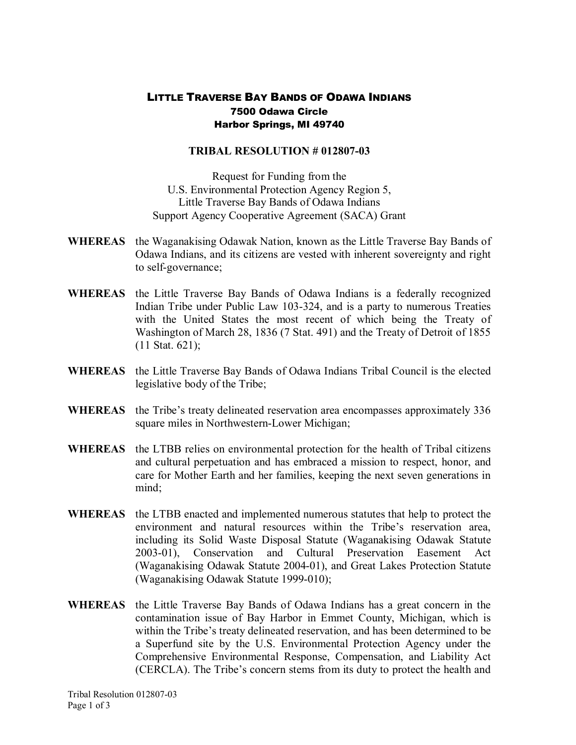## LITTLE TRAVERSE BAY BANDS OF ODAWA INDIANS 7500 Odawa Circle Harbor Springs, MI 49740

## **TRIBAL RESOLUTION # 012807-03**

Request for Funding from the U.S. Environmental Protection Agency Region 5, Little Traverse Bay Bands of Odawa Indians Support Agency Cooperative Agreement (SACA) Grant

- **WHEREAS** the Waganakising Odawak Nation, known as the Little Traverse Bay Bands of Odawa Indians, and its citizens are vested with inherent sovereignty and right to self-governance;
- **WHEREAS** the Little Traverse Bay Bands of Odawa Indians is a federally recognized Indian Tribe under Public Law 103-324, and is a party to numerous Treaties with the United States the most recent of which being the Treaty of Washington of March 28, 1836 (7 Stat. 491) and the Treaty of Detroit of 1855 (11 Stat. 621);
- **WHEREAS** the Little Traverse Bay Bands of Odawa Indians Tribal Council is the elected legislative body of the Tribe;
- **WHEREAS** the Tribe's treaty delineated reservation area encompasses approximately 336 square miles in Northwestern-Lower Michigan;
- **WHEREAS** the LTBB relies on environmental protection for the health of Tribal citizens and cultural perpetuation and has embraced a mission to respect, honor, and care for Mother Earth and her families, keeping the next seven generations in mind;
- **WHEREAS** the LTBB enacted and implemented numerous statutes that help to protect the environment and natural resources within the Tribe's reservation area, including its Solid Waste Disposal Statute (Waganakising Odawak Statute 2003-01). Conservation and Cultural Preservation Easement Act (Waganakising Odawak Statute 2004-01), and Great Lakes Protection Statute (Waganakising Odawak Statute 1999-010);
- **WHEREAS** the Little Traverse Bay Bands of Odawa Indians has a great concern in the contamination issue of Bay Harbor in Emmet County, Michigan, which is within the Tribe's treaty delineated reservation, and has been determined to be a Superfund site by the U.S. Environmental Protection Agency under the Comprehensive Environmental Response, Compensation, and Liability Act (CERCLA). The Tribe's concern stems from itsduty to protect the health and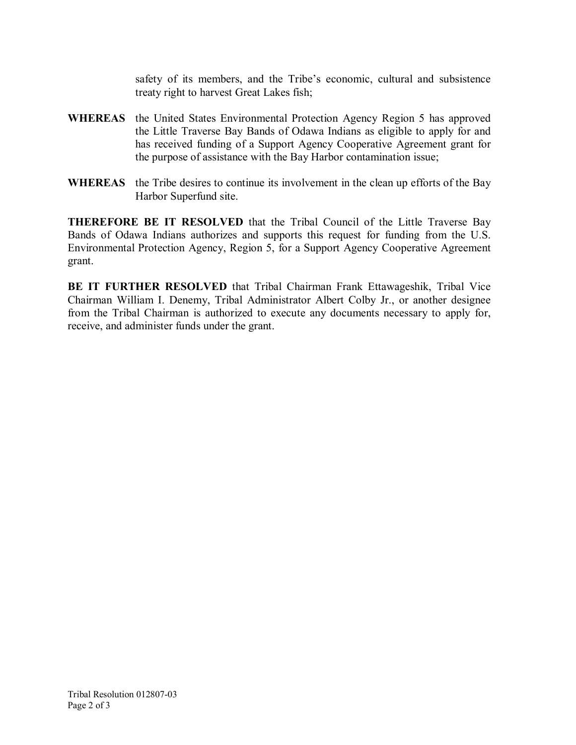safety of its members, and the Tribe's economic, cultural and subsistence treaty right to harvest Great Lakes fish;

- **WHEREAS** the United States Environmental Protection Agency Region 5 has approved the Little Traverse Bay Bands of Odawa Indians as eligible to apply for and has received funding of a Support Agency Cooperative Agreement grant for the purpose of assistance with the Bay Harbor contamination issue;
- **WHEREAS** the Tribe desires to continue its involvement in the clean up efforts of the Bay Harbor Superfund site.

**THEREFORE BE IT RESOLVED** that the Tribal Council of the Little Traverse Bay Bands of Odawa Indians authorizes and supports this request for funding from the U.S. Environmental Protection Agency, Region 5, for a Support Agency Cooperative Agreement grant.

**BE IT FURTHER RESOLVED** that Tribal Chairman Frank Ettawageshik, Tribal Vice Chairman William I. Denemy, Tribal Administrator Albert Colby Jr., or another designee from the Tribal Chairman is authorized to execute any documents necessary to apply for, receive, and administer funds under the grant.